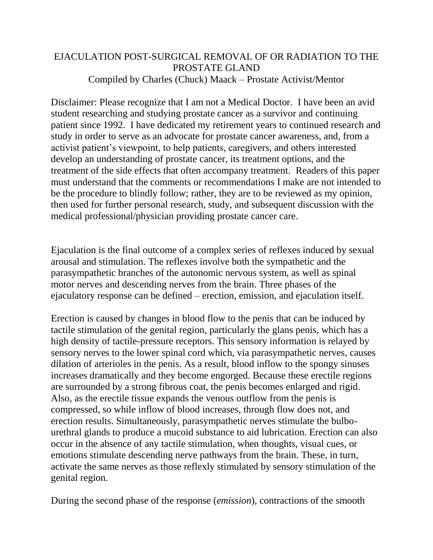## EJACULATION POST-SURGICAL REMOVAL OF OR RADIATION TO THE PROSTATE GLAND Compiled by Charles (Chuck) Maack – Prostate Activist/Mentor

Disclaimer: Please recognize that I am not a Medical Doctor. I have been an avid student researching and studying prostate cancer as a survivor and continuing patient since 1992. I have dedicated my retirement years to continued research and study in order to serve as an advocate for prostate cancer awareness, and, from a activist patient's viewpoint, to help patients, caregivers, and others interested develop an understanding of prostate cancer, its treatment options, and the treatment of the side effects that often accompany treatment. Readers of this paper must understand that the comments or recommendations I make are not intended to be the procedure to blindly follow; rather, they are to be reviewed as my opinion, then used for further personal research, study, and subsequent discussion with the medical professional/physician providing prostate cancer care.

Ejaculation is the final outcome of a complex series of reflexes induced by sexual arousal and stimulation. The reflexes involve both the sympathetic and the parasympathetic branches of the autonomic nervous system, as well as spinal motor nerves and descending nerves from the brain. Three phases of the ejaculatory response can be defined – erection, emission, and ejaculation itself.

Erection is caused by changes in blood flow to the penis that can be induced by tactile stimulation of the genital region, particularly the glans penis, which has a high density of tactile-pressure receptors. This sensory information is relayed by sensory nerves to the lower spinal cord which, via parasympathetic nerves, causes dilation of arterioles in the penis. As a result, blood inflow to the spongy sinuses increases dramatically and they become engorged. Because these erectile regions are surrounded by a strong fibrous coat, the penis becomes enlarged and rigid. Also, as the erectile tissue expands the venous outflow from the penis is compressed, so while inflow of blood increases, through flow does not, and erection results. Simultaneously, parasympathetic nerves stimulate the bulbourethral glands to produce a mucoid substance to aid lubrication. Erection can also occur in the absence of any tactile stimulation, when thoughts, visual cues, or emotions stimulate descending nerve pathways from the brain. These, in turn, activate the same nerves as those reflexly stimulated by sensory stimulation of the genital region.

During the second phase of the response (*emission*), contractions of the smooth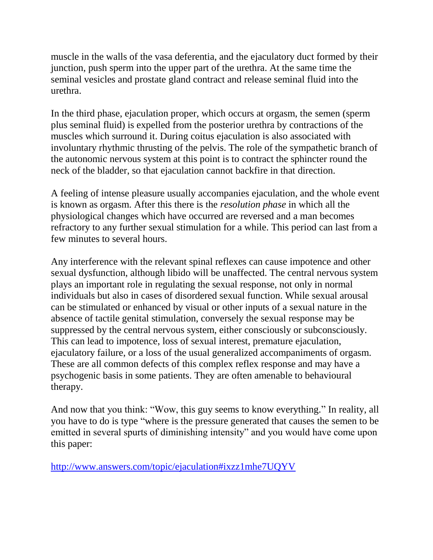muscle in the walls of the vasa deferentia, and the ejaculatory duct formed by their junction, push sperm into the upper part of the urethra. At the same time the seminal vesicles and prostate gland contract and release seminal fluid into the urethra.

In the third phase, ejaculation proper, which occurs at orgasm, the semen (sperm plus seminal fluid) is expelled from the posterior urethra by contractions of the muscles which surround it. During coitus ejaculation is also associated with involuntary rhythmic thrusting of the pelvis. The role of the sympathetic branch of the autonomic nervous system at this point is to contract the sphincter round the neck of the bladder, so that ejaculation cannot backfire in that direction.

A feeling of intense pleasure usually accompanies ejaculation, and the whole event is known as orgasm. After this there is the *resolution phase* in which all the physiological changes which have occurred are reversed and a man becomes refractory to any further sexual stimulation for a while. This period can last from a few minutes to several hours.

Any interference with the relevant spinal reflexes can cause impotence and other sexual dysfunction, although libido will be unaffected. The central nervous system plays an important role in regulating the sexual response, not only in normal individuals but also in cases of disordered sexual function. While sexual arousal can be stimulated or enhanced by visual or other inputs of a sexual nature in the absence of tactile genital stimulation, conversely the sexual response may be suppressed by the central nervous system, either consciously or subconsciously. This can lead to impotence, loss of sexual interest, premature ejaculation, ejaculatory failure, or a loss of the usual generalized accompaniments of orgasm. These are all common defects of this complex reflex response and may have a psychogenic basis in some patients. They are often amenable to behavioural therapy.

And now that you think: "Wow, this guy seems to know everything." In reality, all you have to do is type "where is the pressure generated that causes the semen to be emitted in several spurts of diminishing intensity" and you would have come upon this paper:

<http://www.answers.com/topic/ejaculation#ixzz1mhe7UQYV>